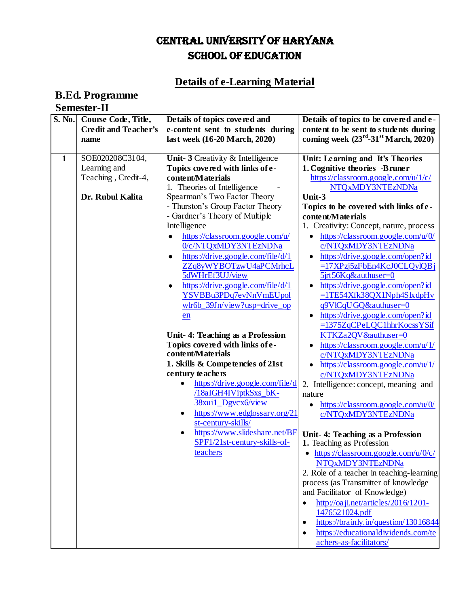## CENTRAL UNIVERSITY OF HARYANA SCHOOL OF EDUCATION

## **Details of e-Learning Material**

## **B.Ed. Programme Semester-II**

| S. No.       | Course Code, Title,<br><b>Credit and Teacher's</b><br>name | Details of topics covered and<br>e-content sent to students during<br>last week (16-20 March, 2020)                                                                                                                                                                                                                                                                                                                                                                                                                                                                                                                                                                                                                                                                      | Details of topics to be covered and e-<br>content to be sent to students during<br>coming week $(23^{rd} - 31^{st}$ March, 2020)                                                                                                                                                                                                                                                                                                                                                                                                                                                                                                                                                                                                                                                                                                                                                                                                                                                                                                                                                                                                              |
|--------------|------------------------------------------------------------|--------------------------------------------------------------------------------------------------------------------------------------------------------------------------------------------------------------------------------------------------------------------------------------------------------------------------------------------------------------------------------------------------------------------------------------------------------------------------------------------------------------------------------------------------------------------------------------------------------------------------------------------------------------------------------------------------------------------------------------------------------------------------|-----------------------------------------------------------------------------------------------------------------------------------------------------------------------------------------------------------------------------------------------------------------------------------------------------------------------------------------------------------------------------------------------------------------------------------------------------------------------------------------------------------------------------------------------------------------------------------------------------------------------------------------------------------------------------------------------------------------------------------------------------------------------------------------------------------------------------------------------------------------------------------------------------------------------------------------------------------------------------------------------------------------------------------------------------------------------------------------------------------------------------------------------|
| $\mathbf{1}$ | SOE020208C3104,<br>Learning and<br>Teaching, Credit-4,     | Unit-3 Creativity & Intelligence<br>Topics covered with links of e-<br>content/Materials<br>1. Theories of Intelligence                                                                                                                                                                                                                                                                                                                                                                                                                                                                                                                                                                                                                                                  | Unit: Learning and It's Theories<br>1. Cognitive theories -Bruner<br>https://classroom.google.com/u/1/c/<br>NTQxMDY3NTEzNDNa                                                                                                                                                                                                                                                                                                                                                                                                                                                                                                                                                                                                                                                                                                                                                                                                                                                                                                                                                                                                                  |
|              | Dr. Rubul Kalita                                           | Spearman's Two Factor Theory<br>- Thurston's Group Factor Theory<br>- Gardner's Theory of Multiple<br>Intelligence<br>https://classroom.google.com/u/<br>0/c/NTQxMDY3NTEzNDNa<br>https://drive.google.com/file/d/1<br>ZZq8yWYBOTzwU4aPCMrhcL<br>5dWHrEf3UJ/view<br>https://drive.google.com/file/d/1<br>YSVBBu3PDq7evNnVmEUpol<br>wlr6b_39Jn/view?usp=drive_op<br>en<br>Unit-4: Teaching as a Profession<br>Topics covered with links of e-<br>content/Materials<br>1. Skills & Competencies of 21st<br>century teachers<br>https://drive.google.com/file/d<br>/18aIGH4IViptkSxs_bK-<br>38xui1_Dgvcx6/view<br>https://www.edglossary.org/21<br>$\bullet$<br>st-century-skills/<br>https://www.slideshare.net/BE<br>$\bullet$<br>SPF1/21st-century-skills-of-<br>teachers | Unit-3<br>Topics to be covered with links of e-<br>content/Materials<br>1. Creativity: Concept, nature, process<br>https://classroom.google.com/u/0/<br>c/NTQxMDY3NTEzNDNa<br>https://drive.google.com/open?id<br>$=17XPzj5zFbEn4KcJ0CLQylQBj$<br>5jrt56Kq&authuser=0<br>https://drive.google.com/open?id<br>=1TE54Xfk38QX1Nph4SlxdpHv<br>q9VlCqUGQ&authuser=0<br>https://drive.google.com/open?id<br>=1375ZqCPeLQC1hhrKocssYSif<br>KTKZa2QV&authuser=0<br>https://classroom.google.com/u/1/<br>c/NTQxMDY3NTEzNDNa<br>https://classroom.google.com/u/1/<br>c/NTQxMDY3NTEzNDNa<br>2. Intelligence: concept, meaning and<br>nature<br>https://classroom.google.com/u/0/<br>٠<br>c/NTQxMDY3NTEzNDNa<br>Unit- 4: Teaching as a Profession<br>1. Teaching as Profession<br>$\bullet$ https://classroom.google.com/u/0/c/<br>NTQxMDY3NTEzNDNa<br>2. Role of a teacher in teaching-learning<br>process (as Transmitter of knowledge<br>and Facilitator of Knowledge)<br>http://oaji.net/articles/2016/1201-<br>1476521024.pdf<br>https://brainly.in/question/13016844<br>$\bullet$<br>https://educationaldividends.com/te<br>achers-as-facilitators/ |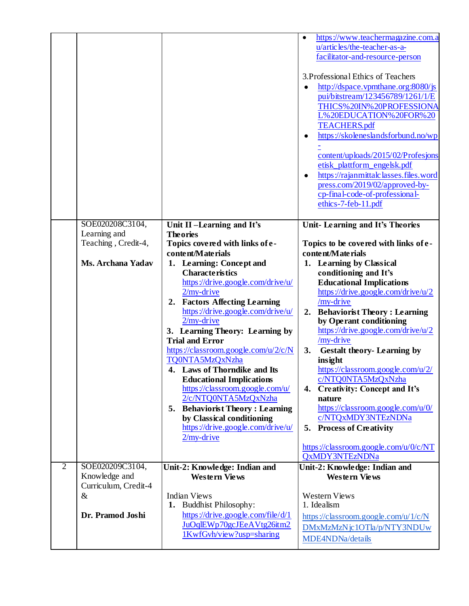|                |                                       |                                                       | https://www.teachermagazine.com.a<br>٠<br>u/articles/the-teacher-as-a-<br>facilitator-and-resource-person<br>3. Professional Ethics of Teachers<br>http://dspace.vpmthane.org:8080/js<br>pui/bitstream/123456789/1261/1/E<br>THICS%20IN%20PROFESSIONA<br>L%20EDUCATION%20FOR%20<br><b>TEACHERS.pdf</b><br>https://skoleneslandsforbund.no/wp<br>content/uploads/2015/02/Profesjons<br>etisk_plattform_engelsk.pdf<br>https://rajanmittalclasses.files.word<br>٠<br>press.com/2019/02/approved-by-<br>cp-final-code-of-professional-<br>ethics-7-feb-11.pdf |
|----------------|---------------------------------------|-------------------------------------------------------|------------------------------------------------------------------------------------------------------------------------------------------------------------------------------------------------------------------------------------------------------------------------------------------------------------------------------------------------------------------------------------------------------------------------------------------------------------------------------------------------------------------------------------------------------------|
|                | SOE020208C3104,                       | Unit II-Learning and It's                             | Unit-Learning and It's Theories                                                                                                                                                                                                                                                                                                                                                                                                                                                                                                                            |
|                | Learning and<br>Teaching, Credit-4,   | <b>The ories</b><br>Topics covered with links of e-   | Topics to be covered with links of e-                                                                                                                                                                                                                                                                                                                                                                                                                                                                                                                      |
|                |                                       | content/Materials                                     | content/Materials                                                                                                                                                                                                                                                                                                                                                                                                                                                                                                                                          |
|                | <b>Ms. Archana Yadav</b>              | 1. Learning: Concept and                              | 1. Learning by Classical                                                                                                                                                                                                                                                                                                                                                                                                                                                                                                                                   |
|                |                                       | <b>Characteristics</b>                                | conditioning and It's                                                                                                                                                                                                                                                                                                                                                                                                                                                                                                                                      |
|                |                                       | https://drive.google.com/drive/u/<br>$2/my$ -drive    | <b>Educational Implications</b><br>https://drive.google.com/drive/u/2                                                                                                                                                                                                                                                                                                                                                                                                                                                                                      |
|                |                                       | <b>Factors Affecting Learning</b><br>2.               | /my-drive                                                                                                                                                                                                                                                                                                                                                                                                                                                                                                                                                  |
|                |                                       | https://drive.google.com/drive/u/                     | <b>Behaviorist Theory: Learning</b><br>2.                                                                                                                                                                                                                                                                                                                                                                                                                                                                                                                  |
|                |                                       | $2$ /my-drive                                         | by Operant conditioning                                                                                                                                                                                                                                                                                                                                                                                                                                                                                                                                    |
|                |                                       | 3. Learning Theory: Learning by                       | https://drive.google.com/drive/u/2                                                                                                                                                                                                                                                                                                                                                                                                                                                                                                                         |
|                |                                       | <b>Trial and Error</b>                                | $/my-driven$                                                                                                                                                                                                                                                                                                                                                                                                                                                                                                                                               |
|                |                                       | https://classroom.google.com/u/2/c/N                  | 3.<br><b>Gestalt theory- Learning by</b>                                                                                                                                                                                                                                                                                                                                                                                                                                                                                                                   |
|                |                                       | TQ0NTA5MzQxNzha<br>4. Laws of Thorndike and Its       | insight<br>https://classroom.google.com/u/2/                                                                                                                                                                                                                                                                                                                                                                                                                                                                                                               |
|                |                                       | <b>Educational Implications</b>                       | c/NTQ0NTA5MzQxNzha                                                                                                                                                                                                                                                                                                                                                                                                                                                                                                                                         |
|                |                                       | https://classroom.google.com/u/                       | 4. Creativity: Concept and It's                                                                                                                                                                                                                                                                                                                                                                                                                                                                                                                            |
|                |                                       | 2/c/NTQ0NTA5MzQxNzha                                  | nature                                                                                                                                                                                                                                                                                                                                                                                                                                                                                                                                                     |
|                |                                       | 5. Behaviorist Theory: Learning                       | https://classroom.google.com/u/0/                                                                                                                                                                                                                                                                                                                                                                                                                                                                                                                          |
|                |                                       | by Classical conditioning                             | c/NTQxMDY3NTEzNDNa                                                                                                                                                                                                                                                                                                                                                                                                                                                                                                                                         |
|                |                                       | https://drive.google.com/drive/u/<br>$2/my$ -drive    | 5. Process of Creativity                                                                                                                                                                                                                                                                                                                                                                                                                                                                                                                                   |
|                |                                       |                                                       | https://classroom.google.com/u/0/c/NT<br>QxMDY3NTEzNDNa                                                                                                                                                                                                                                                                                                                                                                                                                                                                                                    |
| $\overline{2}$ | SOE020209C3104,                       | Unit-2: Knowledge: Indian and                         | Unit-2: Knowledge: Indian and                                                                                                                                                                                                                                                                                                                                                                                                                                                                                                                              |
|                | Knowledge and<br>Curriculum, Credit-4 | Western Views                                         | <b>Western Views</b>                                                                                                                                                                                                                                                                                                                                                                                                                                                                                                                                       |
|                | $\&$                                  | <b>Indian Views</b>                                   | <b>Western Views</b>                                                                                                                                                                                                                                                                                                                                                                                                                                                                                                                                       |
|                |                                       | 1. Buddhist Philosophy:                               | 1. Idealism                                                                                                                                                                                                                                                                                                                                                                                                                                                                                                                                                |
|                | Dr. Pramod Joshi                      | https://drive.google.com/file/d/1                     | https://classroom.google.com/u/1/c/N                                                                                                                                                                                                                                                                                                                                                                                                                                                                                                                       |
|                |                                       | JuOqlEWp70gcJEeAVtg26itm2<br>1KwfGvh/view?usp=sharing | DMxMzMzNjc1OTla/p/NTY3NDUw                                                                                                                                                                                                                                                                                                                                                                                                                                                                                                                                 |
|                |                                       |                                                       | MDE4NDNa/details                                                                                                                                                                                                                                                                                                                                                                                                                                                                                                                                           |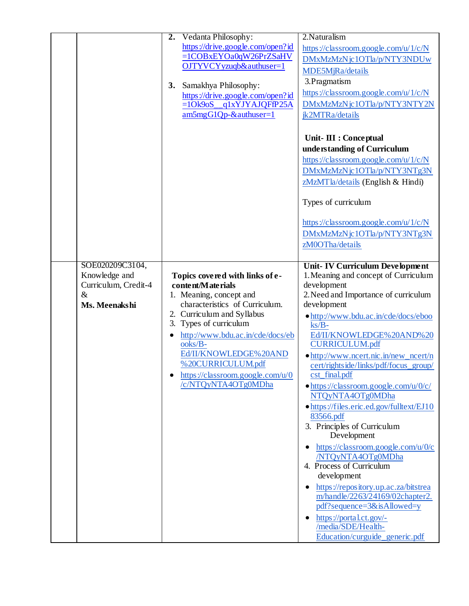|                                                                                   | Vedanta Philosophy:<br>2.<br>https://drive.google.com/open?id<br>=1COBxEYOa0qW26PrZSaHV<br>OJTYVCYyzuqb&authuser=1<br>Samakhya Philosophy:<br>3.<br>https://drive.google.com/open?id<br>q1xYJYAJQFfP25A<br>$=10k9oS$<br>$am5mgG1Qp-$ &authuser=1                                                                                  | 2. Naturalism<br>https://classroom.google.com/u/1/c/N<br>DMxMzMzNjc1OTla/p/NTY3NDUw<br>MDE5MjRa/details<br>3. Pragmatism<br>https://classroom.google.com/u/1/c/N<br>DMxMzMzNjc1OTla/p/NTY3NTY2N<br>jk2MTRa/details<br>Unit- III : Conceptual<br>understanding of Curriculum<br>https://classroom.google.com/u/1/c/N<br>DMxMzMzNjc1OTla/p/NTY3NTg3N<br>zMzMTla/details (English & Hindi)<br>Types of curriculum<br>https://classroom.google.com/u/1/c/N<br>DMxMzMzNjc1OTla/p/NTY3NTg3N<br>zM0OTha/details                                                                                                                                                                                                                                                                                                                                                                     |
|-----------------------------------------------------------------------------------|-----------------------------------------------------------------------------------------------------------------------------------------------------------------------------------------------------------------------------------------------------------------------------------------------------------------------------------|------------------------------------------------------------------------------------------------------------------------------------------------------------------------------------------------------------------------------------------------------------------------------------------------------------------------------------------------------------------------------------------------------------------------------------------------------------------------------------------------------------------------------------------------------------------------------------------------------------------------------------------------------------------------------------------------------------------------------------------------------------------------------------------------------------------------------------------------------------------------------|
| SOE020209C3104,<br>Knowledge and<br>Curriculum, Credit-4<br>$\&$<br>Ms. Meenakshi | Topics covered with links of e-<br>content/Materials<br>1. Meaning, concept and<br>characteristics of Curriculum.<br>2. Curriculum and Syllabus<br>3. Types of curriculum<br>http://www.bdu.ac.in/cde/docs/eb<br>ooks/B-<br>Ed/II/KNOWLEDGE%20AND<br>%20CURRICULUM.pdf<br>https://classroom.google.com/u/0<br>/c/NTQyNTA4OTg0MDha | <b>Unit-IV Curriculum Development</b><br>1. Meaning and concept of Curriculum<br>development<br>2. Need and Importance of curriculum<br>development<br>• http://www.bdu.ac.in/cde/docs/eboo<br>$\text{ks}/\text{B}$ -<br>Ed/II/KNOWLEDGE%20AND%20<br><b>CURRICULUM.pdf</b><br>• http://www.ncert.nic.in/new_ncert/n<br>cert/rightside/links/pdf/focus_group/<br>$cst$ _final.pdf<br>$\bullet$ https://classroom.google.com/u/0/c/<br>NTQyNTA4OTg0MDha<br>• https://files.eric.ed.gov/fulltext/EJ10<br>83566.pdf<br>3. Principles of Curriculum<br>Development<br>https://classroom.google.com/u/0/c<br>$\bullet$<br>/NTQyNTA4OTg0MDha<br>4. Process of Curriculum<br>development<br>https://repository.up.ac.za/bitstrea<br>m/handle/2263/24169/02chapter2.<br>pdf?sequence=3&isAllowed=y<br>https://portal.ct.gov/-<br>/media/SDE/Health-<br>Education/curguide_generic.pdf |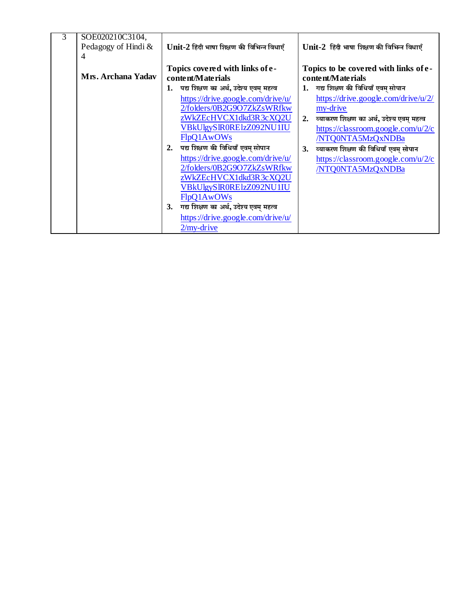| 3 | SOE020210C3104,<br>Pedagogy of Hindi &<br>$\overline{4}$ |           | Unit-2 हिंदी भाषा शिक्षण की विभिन्न विधाएँ           |    | Unit-2 हिंदी भाषा शिक्षण की विभिन्न विधाएँ                 |
|---|----------------------------------------------------------|-----------|------------------------------------------------------|----|------------------------------------------------------------|
|   | Mrs. Archana Yadav                                       |           | Topics covered with links of e-<br>content/Materials |    | Topics to be covered with links of e-<br>content/Materials |
|   |                                                          | 1.        | पद्य शिक्षण का अर्थ, उदेश्य एवम् महत्व               |    | 1. गद्य शिक्षण की विधियाँ एवम् सोपान                       |
|   |                                                          |           | https://drive.google.com/drive/u/                    |    | https://drive.google.com/drive/u/2/                        |
|   |                                                          |           | 2/folders/0B2G9O7ZkZsWRfkw                           |    | my-drive                                                   |
|   |                                                          |           | zWkZEcHVCX1dkd3R3cXQ2U                               | 2. | व्याकरण शिक्षण का अर्थ, उदेश्य एवम् महत्व                  |
|   |                                                          |           | VBkUlgySIR0RElzZ092NU1IU                             |    | https://classroom.google.com/u/2/c                         |
|   |                                                          |           | FlpQ1AwOWs                                           |    | /NTQ0NTA5MzQxNDBa                                          |
|   |                                                          | 2.        | पद्य शिक्षण की विधियाँ एवम् सोपान                    | 3. | व्याकरण शिक्षण की विधियाँ एवम् सोपान                       |
|   |                                                          |           | https://drive.google.com/drive/u/                    |    | https://classroom.google.com/u/2/c                         |
|   |                                                          |           | 2/folders/0B2G9O7ZkZsWRfkw                           |    | /NTQ0NTA5MzQxNDBa                                          |
|   |                                                          |           | zWkZEcHVCX1dkd3R3cXQ2U                               |    |                                                            |
|   |                                                          |           | VBkUlgySIR0RElzZ092NU1IU                             |    |                                                            |
|   |                                                          |           | FlpQ1AwOWs                                           |    |                                                            |
|   |                                                          | <b>3.</b> | गद्य शिक्षण का अर्थ, उदेश्य एवम् महत्व               |    |                                                            |
|   |                                                          |           | https://drive.google.com/drive/u/<br>$2/my$ -drive   |    |                                                            |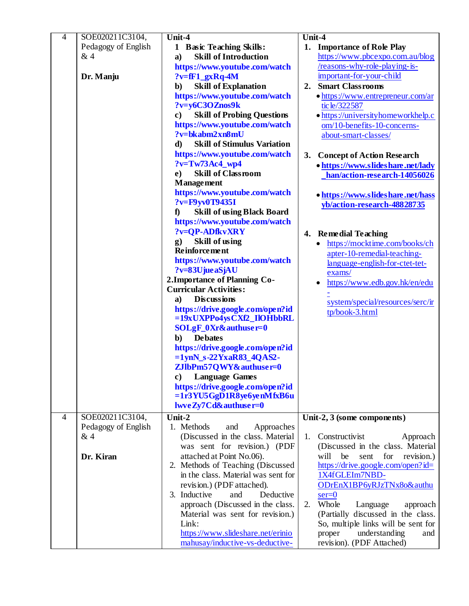| $\overline{4}$ | SOE020211C3104,     | Unit-4                                             | Unit-4                                  |
|----------------|---------------------|----------------------------------------------------|-----------------------------------------|
|                | Pedagogy of English | 1 Basic Teaching Skills:                           | 1. Importance of Role Play              |
|                | &4                  | <b>Skill of Introduction</b><br>$\mathbf{a}$       | https://www.pbcexpo.com.au/blog         |
|                |                     | https://www.youtube.com/watch                      | /reasons-why-role-playing-is-           |
|                | Dr. Manju           | $?v=ff1gxRq-4M$                                    | important-for-your-child                |
|                |                     | <b>Skill of Explanation</b><br>$\mathbf{b}$        | <b>Smart Classrooms</b><br>2.           |
|                |                     | https://www.youtube.com/watch                      | • https://www.entrepreneur.com/ar       |
|                |                     | ?v=y6C3OZnos9k                                     | tic le/322587                           |
|                |                     | <b>Skill of Probing Questions</b><br>$\mathbf{c})$ | • https://universityhomeworkhelp.c      |
|                |                     | https://www.youtube.com/watch                      | om/10-benefits-10-concerns-             |
|                |                     | ?v=bkabm2xn8mU                                     | about-smart-classes/                    |
|                |                     | <b>Skill of Stimulus Variation</b><br>d)           |                                         |
|                |                     | https://www.youtube.com/watch                      | 3. Concept of Action Research           |
|                |                     | $?v=Tw73Ac4$ wp4                                   | • https://www.slideshare.net/lady       |
|                |                     | <b>Skill of Classroom</b><br>e)                    | han/action-research-14056026            |
|                |                     | <b>Management</b>                                  |                                         |
|                |                     | https://www.youtube.com/watch                      | • https://www.slideshare.net/hass       |
|                |                     | ?v=F9yv0T9435I                                     | yb/action-research-48828735             |
|                |                     | <b>Skill of using Black Board</b><br>$\mathbf f$   |                                         |
|                |                     | https://www.youtube.com/watch                      |                                         |
|                |                     | ?v=QP-ADfkvXRY                                     | 4. Remedial Teaching                    |
|                |                     | Skill of using<br>$\mathbf{g}$ )                   | https://mocktime.com/books/ch           |
|                |                     | <b>Reinforcement</b>                               | apter-10-remedial-teaching-             |
|                |                     | https://www.youtube.com/watch                      | language-english-for-ctet-tet-          |
|                |                     | ?v=83UjueaSjAU                                     | exams/                                  |
|                |                     | 2. Importance of Planning Co-                      | https://www.edb.gov.hk/en/edu           |
|                |                     | <b>Curricular Activities:</b>                      |                                         |
|                |                     | <b>Discussions</b><br>a)                           | system/special/resources/serc/ir        |
|                |                     | https://drive.google.com/open?id                   | tp/book-3.html                          |
|                |                     | =19xUXPPo4ysCXf2_IlOHbbRL                          |                                         |
|                |                     | SOLgF_0Xr&authuser=0                               |                                         |
|                |                     | <b>De bates</b><br>$\mathbf{b}$ )                  |                                         |
|                |                     | https://drive.google.com/open?id                   |                                         |
|                |                     | $=1$ ynN_s-22YxaR83_4QAS2-                         |                                         |
|                |                     | ZJlbPm57QWY&authuser=0<br><b>Language Games</b>    |                                         |
|                |                     | c)<br>https://drive.google.com/open?id             |                                         |
|                |                     | =1r3YU5GgD1R8ye6yenMfxB6u                          |                                         |
|                |                     | lwveZy7Cd&authuser=0                               |                                         |
| $\overline{4}$ | SOE020211C3104,     | Unit- $2$                                          | Unit-2, 3 (some components)             |
|                | Pedagogy of English | 1. Methods<br>Approaches<br>and                    |                                         |
|                | &4                  | (Discussed in the class. Material                  | Constructivist<br>1.<br>Approach        |
|                |                     | was sent for revision.) (PDF                       | (Discussed in the class. Material       |
|                | Dr. Kiran           | attached at Point No.06).                          | for<br>revision.)<br>will<br>be<br>sent |
|                |                     | 2. Methods of Teaching (Discussed                  | https://drive.google.com/open?id=       |
|                |                     | in the class. Material was sent for                | 1X4fGLEIm7NBD-                          |
|                |                     | revision.) (PDF attached).                         | ODrEnX1BP6yRJzTNx8o&authu               |
|                |                     | 3. Inductive<br>and<br>Deductive                   | $ser=0$                                 |
|                |                     | approach (Discussed in the class.                  | Whole<br>2.<br>Language<br>approach     |
|                |                     | Material was sent for revision.)                   | (Partially discussed in the class.      |
|                |                     | Link:                                              | So, multiple links will be sent for     |
|                |                     | https://www.slideshare.net/erinio                  | understanding<br>proper<br>and          |
|                |                     | mahusay/inductive-vs-deductive-                    | revision). (PDF Attached)               |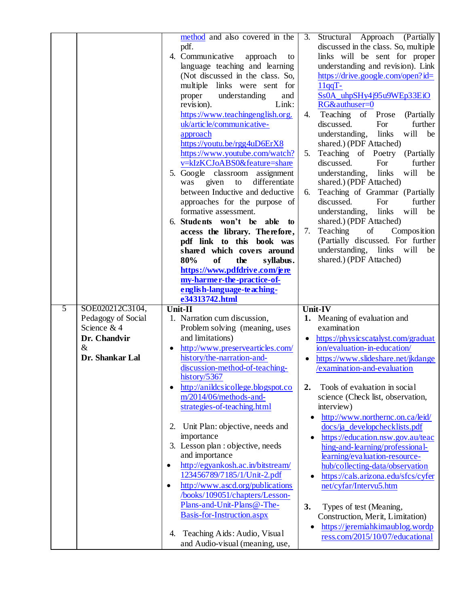|                                                                              |                        | method and also covered in the<br>pdf.<br>4. Communicative<br>approach<br>to<br>language teaching and learning<br>(Not discussed in the class. So,<br>multiple links were sent for<br>understanding<br>and<br>proper<br>Link:<br>revision).<br>https://www.teachingenglish.org.<br>uk/article/communicative-<br>approach<br>https://youtu.be/rgg4uD6ErX8<br>https://www.youtube.com/watch?<br>v=kIzKCJoABS0&feature=share<br>5. Google classroom assignment<br>differentiate<br>was<br>given<br>to<br>between Inductive and deductive<br>approaches for the purpose of<br>formative assessment.<br>6. Students won't be<br>able<br>to<br>access the library. Therefore,<br>pdf link to this book was<br>shared which covers around<br>80%<br>of<br>the<br>syllabus.<br>https://www.pdfdrive.com/jere<br>my-harmer-the-practice-of-<br>english-language-teaching- | 3.<br>4.<br>5.<br>6.<br>7.           | Structural Approach (Partially<br>discussed in the class. So, multiple<br>links will be sent for proper<br>understanding and revision). Link<br>https://drive.google.com/open?id=<br>$11qqT -$<br>Ss0A_uhpSHy4j95u9WEp33EiO<br>RG&authuser=0<br>Teaching of Prose<br>(Partially<br>discussed.<br>For<br>further<br>will<br>understanding,<br>links<br>be<br>shared.) (PDF Attached)<br>Teaching of Poetry<br>(Partially)<br>discussed.<br>For<br>further<br>will<br>understanding,<br>links<br>be<br>shared.) (PDF Attached)<br>Teaching of Grammar (Partially<br>discussed.<br>further<br>For<br>will<br>understanding, links<br>be<br>shared.) (PDF Attached)<br>Teaching<br>of<br>Composition<br>(Partially discussed. For further<br>understanding, links will<br>be<br>shared.) (PDF Attached) |
|------------------------------------------------------------------------------|------------------------|------------------------------------------------------------------------------------------------------------------------------------------------------------------------------------------------------------------------------------------------------------------------------------------------------------------------------------------------------------------------------------------------------------------------------------------------------------------------------------------------------------------------------------------------------------------------------------------------------------------------------------------------------------------------------------------------------------------------------------------------------------------------------------------------------------------------------------------------------------------|--------------------------------------|-----------------------------------------------------------------------------------------------------------------------------------------------------------------------------------------------------------------------------------------------------------------------------------------------------------------------------------------------------------------------------------------------------------------------------------------------------------------------------------------------------------------------------------------------------------------------------------------------------------------------------------------------------------------------------------------------------------------------------------------------------------------------------------------------------|
| SOE020212C3104,<br>$\overline{5}$                                            |                        | e34313742.html<br>Unit-II                                                                                                                                                                                                                                                                                                                                                                                                                                                                                                                                                                                                                                                                                                                                                                                                                                        |                                      | Unit-IV                                                                                                                                                                                                                                                                                                                                                                                                                                                                                                                                                                                                                                                                                                                                                                                             |
| Pedagogy of Social<br>Science & 4<br>Dr. Chandvir<br>$\&$<br>Dr. Shankar Lal |                        | 1. Narration cum discussion,<br>Problem solving (meaning, uses<br>and limitations)<br>http://www.preservearticles.com/<br>history/the-narration-and-<br>discussion-method-of-teaching-<br>history/5367                                                                                                                                                                                                                                                                                                                                                                                                                                                                                                                                                                                                                                                           | $\bullet$                            | 1. Meaning of evaluation and<br>examination<br>https://physicscatalyst.com/graduat<br>ion/evaluation-in-education/<br>https://www.slideshare.net/jkdange<br>/examination-and-evaluation                                                                                                                                                                                                                                                                                                                                                                                                                                                                                                                                                                                                             |
|                                                                              | $\bullet$<br>$\bullet$ | http://anildcsicollege.blogspot.co<br>m/2014/06/methods-and-<br>strategies-of-teaching.html<br>2. Unit Plan: objective, needs and<br>importance<br>3. Lesson plan : objective, needs<br>and importance<br>http://egyankosh.ac.in/bitstream/<br>123456789/7185/1/Unit-2.pdf<br>http://www.ascd.org/publications<br>/books/109051/chapters/Lesson-<br>Plans-and-Unit-Plans@-The-<br>Basis-for-Instruction.aspx                                                                                                                                                                                                                                                                                                                                                                                                                                                     | 2.<br>٠<br>$\bullet$<br>٠<br>3.<br>٠ | Tools of evaluation in social<br>science (Check list, observation,<br>interview)<br>http://www.northernc.on.ca/leid/<br>docs/ja_developchecklists.pdf<br>https://education.nsw.gov.au/teac<br>hing-and-learning/professional-<br>learning/evaluation-resource-<br>hub/collecting-data/observation<br>https://cals.arizona.edu/sfcs/cyfer<br>net/cyfar/Intervu5.htm<br>Types of test (Meaning,<br>Construction, Merit, Limitation)<br>https://jeremiahkimaublog.wordp                                                                                                                                                                                                                                                                                                                                |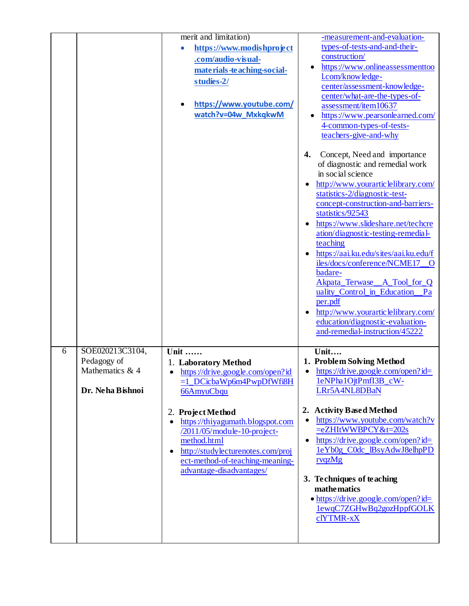|   |                                                                       | merit and limitation)<br>https://www.modishproject<br>$\bullet$<br>.com/audio-visual-<br>materials-teaching-social-<br>studies-2/<br>https://www.youtube.com/<br>watch?v=04w_MxkqkwM                    | -measurement-and-evaluation-<br>types-of-tests-and-and-their-<br>construction/<br>https://www.onlineassessmenttoo<br>l.com/knowledge-<br>center/assessment-knowledge-<br>center/what-are-the-types-of-<br>assessment/item10637<br>https://www.pearsonlearned.com/<br>٠<br>4-common-types-of-tests-<br>teachers-give-and-why<br>4.<br>Concept, Need and importance<br>of diagnostic and remedial work<br>in social science<br>http://www.yourarticlelibrary.com/<br>statistics-2/diagnostic-test-<br>concept-construction-and-barriers-<br>statistics/92543<br>https://www.slideshare.net/techcre<br>ation/diagnostic-testing-remedial-<br>teaching<br>https://aai.ku.edu/sites/aai.ku.edu/f<br>iles/docs/conference/NCME17_O<br>badare-<br>Akpata_Terwase_A_Tool_for_Q<br>uality_Control_in_Education_Pa<br>per.pdf |
|---|-----------------------------------------------------------------------|---------------------------------------------------------------------------------------------------------------------------------------------------------------------------------------------------------|---------------------------------------------------------------------------------------------------------------------------------------------------------------------------------------------------------------------------------------------------------------------------------------------------------------------------------------------------------------------------------------------------------------------------------------------------------------------------------------------------------------------------------------------------------------------------------------------------------------------------------------------------------------------------------------------------------------------------------------------------------------------------------------------------------------------|
| 6 | SOE020213C3104,<br>Pedagogy of<br>Mathematics & 4<br>Dr. Neha Bishnoi | $\overline{\text{Unit}}$<br>1. Laboratory Method<br>https://drive.google.com/open?id<br>$\bullet$<br>$=1$ DCicbaWp6m4PwpDfWfi8H<br>66AmyuCbqu                                                           | http://www.yourarticlelibrary.com/<br>education/diagnostic-evaluation-<br>and-remedial-instruction/45222<br>Unit<br>1. Problem Solving Method<br>https://drive.google.com/open?id=<br>$\bullet$<br>1eNPha1OjtPmfI3B_cW-<br>LRr5A4NL8DBaN                                                                                                                                                                                                                                                                                                                                                                                                                                                                                                                                                                            |
|   |                                                                       | 2. Project Method<br>https://thiyagumath.blogspot.com<br>/2011/05/module-10-project-<br>method.html<br>http://studylecturenotes.com/proj<br>ect-method-of-teaching-meaning-<br>advantage-disadvantages/ | <b>Activity Based Method</b><br>2.<br>https://www.youtube.com/watch?v<br>$\bullet$<br>=eZHItWWBPCY&t=202s<br>https://drive.google.com/open?id=<br>1eYb0g_C0dc_lBsyAdwJ8elhpPD<br>rvqzMg<br>3. Techniques of teaching<br>mathematics<br>• https://drive.google.com/open?id=<br>lewqC7ZGHwBq2gozHppfGOLK<br>clYTMR-xX                                                                                                                                                                                                                                                                                                                                                                                                                                                                                                 |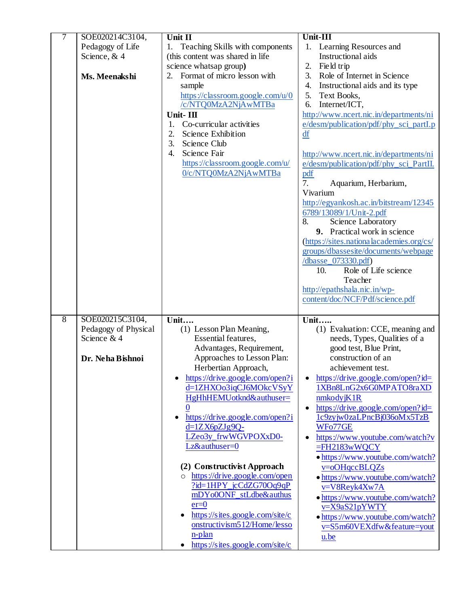| 7              | SOE020214C3104,      | Unit II                                  | Unit-III                                       |
|----------------|----------------------|------------------------------------------|------------------------------------------------|
|                | Pedagogy of Life     | 1. Teaching Skills with components       | 1. Learning Resources and                      |
|                | Science, & 4         | (this content was shared in life         | Instructional aids                             |
|                |                      | science whatsap group)                   | 2.<br>Field trip                               |
|                | Ms. Meenakshi        | Format of micro lesson with              | 3.<br>Role of Internet in Science              |
|                |                      | sample                                   | 4.<br>Instructional aids and its type          |
|                |                      | https://classroom.google.com/u/0         | 5.<br>Text Books,                              |
|                |                      | /c/NTQ0MzA2NjAwMTBa                      | Internet/ICT,<br>6.                            |
|                |                      | Unit-III                                 | http://www.ncert.nic.in/departments/ni         |
|                |                      | Co-curricular activities                 |                                                |
|                |                      | 1.                                       | e/desm/publication/pdf/phy_sci_partI.p         |
|                |                      | 2.<br>Science Exhibition                 | df                                             |
|                |                      | 3.<br>Science Club                       |                                                |
|                |                      | Science Fair<br>4.                       | http://www.ncert.nic.in/departments/ni         |
|                |                      | https://classroom.google.com/u/          | e/desm/publication/pdf/phy_sci_PartII.         |
|                |                      | 0/c/NTQ0MzA2NjAwMTBa                     | <u>pdf</u>                                     |
|                |                      |                                          | 7.<br>Aquarium, Herbarium,                     |
|                |                      |                                          | Vivarium                                       |
|                |                      |                                          | http://egyankosh.ac.in/bitstream/12345         |
|                |                      |                                          | 6789/13089/1/Unit-2.pdf                        |
|                |                      |                                          | 8.<br>Science Laboratory                       |
|                |                      |                                          | 9. Practical work in science                   |
|                |                      |                                          | (https://sites.nationalacademies.org/cs/       |
|                |                      |                                          | groups/dbassesite/documents/webpage            |
|                |                      |                                          | /dbasse_073330.pdf)                            |
|                |                      |                                          | Role of Life science<br>10.                    |
|                |                      |                                          | Teacher                                        |
|                |                      |                                          | http://epathshala.nic.in/wp-                   |
|                |                      |                                          | content/doc/NCF/Pdf/science.pdf                |
|                |                      |                                          |                                                |
| $\overline{8}$ | SOE020215C3104,      | Unit                                     | <b>Unit</b>                                    |
|                | Pedagogy of Physical | (1) Lesson Plan Meaning,                 | (1) Evaluation: CCE, meaning and               |
|                | Science & 4          | Essential features,                      | needs, Types, Qualities of a                   |
|                |                      | Advantages, Requirement,                 | good test, Blue Print,                         |
|                | Dr. Neha Bishnoi     | Approaches to Lesson Plan:               | construction of an                             |
|                |                      | Herbertian Approach,                     | achievement test.                              |
|                |                      | https://drive.google.com/open?i          | https://drive.google.com/open?id=              |
|                |                      | d=1ZHXOo3iqCJ6MOkcVSyY                   | 1XBn8LnG2x6G0MPATO8raXD                        |
|                |                      | HgHhHEMUotknd&authuser=                  | nmkodyjK1R                                     |
|                |                      |                                          |                                                |
|                |                      |                                          | https://drive.google.com/open?id=<br>$\bullet$ |
|                |                      | https://drive.google.com/open?i          | 1c9zyjw0zaLPncBj036oMx5TzB                     |
|                |                      | d=1ZX6pZJg9Q-                            | WFo77GE                                        |
|                |                      | LZeo3y_frwWGVPOXxD0-                     | https://www.youtube.com/watch?v                |
|                |                      | Lz&authuser=0                            | $=$ FH2183wWQCY                                |
|                |                      |                                          | • https://www.youtube.com/watch?               |
|                |                      | (2) Constructivist Approach              | v=oOHqccBLQZs                                  |
|                |                      | https://drive.google.com/open<br>$\circ$ | • https://www.youtube.com/watch?               |
|                |                      | $?id=1HPY_icCdZG70Oq9qP$                 | v=V8Reyk4Xw7A                                  |
|                |                      | mDYo0ONF_stLdbe&authus                   | • https://www.youtube.com/watch?               |
|                |                      | $er=0$                                   | v=X9aS21pYWTY                                  |
|                |                      | https://sites.google.com/site/c          | • https://www.youtube.com/watch?               |
|                |                      | onstructivism512/Home/lesso              | v=S5m60VEXdfw&feature=yout                     |
|                |                      | n-plan                                   |                                                |
|                |                      |                                          | u.be                                           |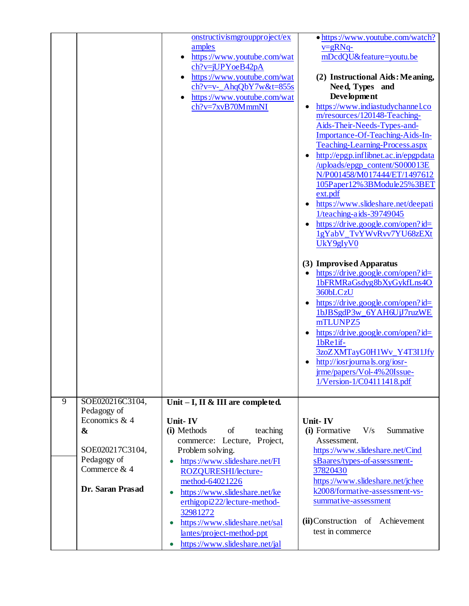|   |                                                                                                                           | onstructivismgroupproject/ex<br>amples<br>https://www.youtube.com/wat<br>ch?v=jUPYoeB42pA<br>https://www.youtube.com/wat<br>$ch?v=v$ - $AhqQbY7w&t=855s$<br>https://www.youtube.com/wat<br>ch?v=7xvB70MmmNI                                                                                                                                                                                 | • https://www.youtube.com/watch?<br>$v = gRNq$<br>mDcdQU&feature=youtu.be<br>(2) Instructional Aids: Meaning,<br>Need, Types and<br><b>Development</b><br>https://www.indiastudychannel.co<br>$\bullet$<br>m/resources/120148-Teaching-<br>Aids-Their-Needs-Types-and-<br>Importance-Of-Teaching-Aids-In-<br>Teaching-Learning-Process.aspx<br>http://epgp.inflibnet.ac.in/epgpdata<br>/uploads/epgp_content/S000013E<br>N/P001458/M017444/ET/1497612<br>105Paper12%3BModule25%3BET<br>ext.pdf<br>https://www.slideshare.net/deepati<br>1/teaching-aids-39749045<br>https://drive.google.com/open?id=<br>1gYabV_TvYWvRvv7YU68zEXt<br>UkY9gIyV0<br>(3) Improvised Apparatus<br>https://drive.google.com/open?id=<br>$\bullet$<br>1bFRMRaGsdyg8bXyGykfLns4O<br>360bLCzU<br>https://drive.google.com/open?id=<br>1bJBSgdP3w_6YAH6UjJ7ruzWE<br>mTLUNPZ5<br>https://drive.google.com/open?id=<br>1bRe1if-<br>3zoZXMTayG0H1Wv_Y4T3I1Jfy<br>http://iosrjournals.org/iosr-<br>jrme/papers/Vol-4%20Issue-<br>1/Version-1/C04111418.pdf |
|---|---------------------------------------------------------------------------------------------------------------------------|---------------------------------------------------------------------------------------------------------------------------------------------------------------------------------------------------------------------------------------------------------------------------------------------------------------------------------------------------------------------------------------------|-------------------------------------------------------------------------------------------------------------------------------------------------------------------------------------------------------------------------------------------------------------------------------------------------------------------------------------------------------------------------------------------------------------------------------------------------------------------------------------------------------------------------------------------------------------------------------------------------------------------------------------------------------------------------------------------------------------------------------------------------------------------------------------------------------------------------------------------------------------------------------------------------------------------------------------------------------------------------------------------------------------------------------|
| 9 | SOE020216C3104,                                                                                                           | Unit - I, II & III are completed.                                                                                                                                                                                                                                                                                                                                                           |                                                                                                                                                                                                                                                                                                                                                                                                                                                                                                                                                                                                                                                                                                                                                                                                                                                                                                                                                                                                                               |
|   | Pedagogy of<br>Economics & $4$<br>$\boldsymbol{\&}$<br>SOE020217C3104,<br>Pedagogy of<br>Commerce & 4<br>Dr. Saran Prasad | Unit-IV<br>(i) Methods<br>of<br>teaching<br>commerce: Lecture, Project,<br>Problem solving.<br>https://www.slideshare.net/FI<br>$\bullet$<br>ROZQURESHI/lecture-<br>method-64021226<br>https://www.slideshare.net/ke<br>$\bullet$<br>erthigopi222/lecture-method-<br>32981272<br>https://www.slideshare.net/sal<br>$\bullet$<br>lantes/project-method-ppt<br>https://www.slideshare.net/jal | Unit-IV<br>(i) Formative<br>V/s<br>Summative<br>Assessment.<br>https://www.slideshare.net/Cind<br>sBaares/types-of-assessment-<br>37820430<br>https://www.slideshare.net/jchee<br>k2008/formative-assessment-vs-<br>summative-assessment<br>(ii) Construction of Achievement<br>test in commerce                                                                                                                                                                                                                                                                                                                                                                                                                                                                                                                                                                                                                                                                                                                              |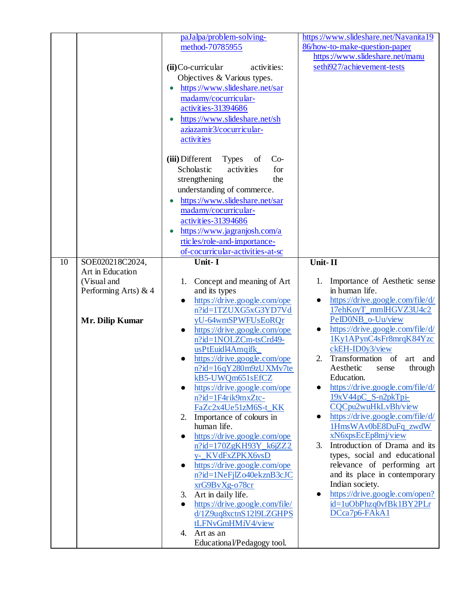|    |                                     | paJalpa/problem-solving-                          | https://www.slideshare.net/Navanita19         |
|----|-------------------------------------|---------------------------------------------------|-----------------------------------------------|
|    |                                     | method-70785955                                   | 86/how-to-make-question-paper                 |
|    |                                     |                                                   | https://www.slideshare.net/manu               |
|    |                                     | $(ii)$ Co-curricular<br>activities:               | sethi927/achievement-tests                    |
|    |                                     | Objectives & Various types.                       |                                               |
|    |                                     | https://www.slideshare.net/sar                    |                                               |
|    |                                     | madamy/cocurricular-                              |                                               |
|    |                                     | activities-31394686                               |                                               |
|    |                                     |                                                   |                                               |
|    |                                     | https://www.slideshare.net/sh                     |                                               |
|    |                                     | aziazamir3/cocurricular-                          |                                               |
|    |                                     | activities                                        |                                               |
|    |                                     | (iii) Different<br><b>Types</b><br>$Co-$<br>of    |                                               |
|    |                                     | for<br>Scholastic<br>activities                   |                                               |
|    |                                     | strengthening<br>the                              |                                               |
|    |                                     |                                                   |                                               |
|    |                                     | understanding of commerce.                        |                                               |
|    |                                     | https://www.slideshare.net/sar                    |                                               |
|    |                                     | madamy/cocurricular-                              |                                               |
|    |                                     | activities-31394686                               |                                               |
|    |                                     | https://www.jagranjosh.com/a                      |                                               |
|    |                                     | rtic les/role-and-importance-                     |                                               |
|    |                                     | of-cocurricular-activities-at-sc                  |                                               |
| 10 | SOE020218C2024,                     | Unit-I                                            | Unit-II                                       |
|    | Art in Education                    |                                                   | Importance of Aesthetic sense                 |
|    | (Visual and<br>Performing Arts) & 4 | Concept and meaning of Art<br>1.<br>and its types | in human life.                                |
|    |                                     | https://drive.google.com/ope<br>$\bullet$         | https://drive.google.com/file/d/<br>$\bullet$ |
|    |                                     | n?id=1TZUXG5xG3YD7Vd                              | 17ehKoyT_mmlHGVZ3U4c2                         |
|    | <b>Mr. Dilip Kumar</b>              | yU-64wmSPWFUsEoRQr                                | PeID0NB_o-Uu/view                             |
|    |                                     | https://drive.google.com/ope                      | https://drive.google.com/file/d/<br>$\bullet$ |
|    |                                     | n?id=1NOLZCm-tsCrd49-                             | 1Ky1APynC4sFr8mrqK84Yzc                       |
|    |                                     | usPtEuidl4Amqifk_                                 | ckEH-ID0y3/view                               |
|    |                                     | https://drive.google.com/ope                      | Transformation<br>2.<br>- of<br>art<br>and    |
|    |                                     | $n$ ?id=16qY280m9zUXMv7te                         | Aesthetic<br>through<br>sense                 |
|    |                                     | kB5-UWQm651sEfCZ                                  | Education.                                    |
|    |                                     | https://drive.google.com/ope                      | https://drive.google.com/file/d/              |
|    |                                     | n?id=1F4rik9mxZtc-                                | 19xV44pC_S-n2pkTpi-                           |
|    |                                     | FaZc2x4Ue51zM6S-t_KK                              | CQCpu2wuHkLvBh/view                           |
|    |                                     | Importance of colours in<br>2.                    | https://drive.google.com/file/d/<br>$\bullet$ |
|    |                                     | human life.                                       | 1HmsWAv0bE8DuFq zwdW                          |
|    |                                     | https://drive.google.com/ope<br>$\bullet$         | xN6xpsEcEp8mj/view                            |
|    |                                     | $n$ ?id=170ZgKH93Y_k6jZZ2                         | Introduction of Drama and its<br>3.           |
|    |                                     | y- KVdFxZPKX6vsD                                  | types, social and educational                 |
|    |                                     | https://drive.google.com/ope<br>$\bullet$         | relevance of performing art                   |
|    |                                     | n?id=1NeFjlZo40ekznB3cJC                          | and its place in contemporary                 |
|    |                                     | xrG9BvXg-o78cr                                    | Indian society.                               |
|    |                                     | Art in daily life.<br>3.                          | https://drive.google.com/open?                |
|    |                                     | https://drive.google.com/file/<br>$\bullet$       | id=1uObPhzq0vfBk1BY2PLr                       |
|    |                                     | d/1Z9uq8xctnS1219LZGHPS                           | DCca7p6-FAkA1                                 |
|    |                                     |                                                   |                                               |
|    |                                     | tLFNvGmHMiV4/view                                 |                                               |
|    |                                     | Art as an<br>4.<br>Educational/Pedagogy tool.     |                                               |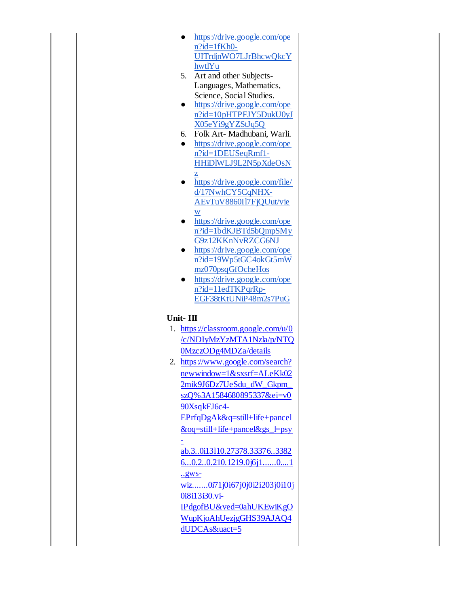| https://drive.google.com/ope<br>$\bullet$   |  |
|---------------------------------------------|--|
| $n$ ?id=1fKh0-                              |  |
| UITrdjnWO7LJrBhcwQkcY                       |  |
| hwtlYu                                      |  |
| 5. Art and other Subjects-                  |  |
| Languages, Mathematics,                     |  |
| Science, Social Studies.                    |  |
| https://drive.google.com/ope<br>$\bullet$   |  |
| n?id=10pHTPFJY5DukU0yJ                      |  |
| X05eYi9gYZStJq5Q                            |  |
| 6. Folk Art- Madhubani, Warli.              |  |
| https://drive.google.com/ope<br>$\bullet$   |  |
| n?id=1DEUSeqRmf1-                           |  |
| HHiDIWLJ9L2N5pXdeOsN                        |  |
| z                                           |  |
| https://drive.google.com/file/<br>$\bullet$ |  |
| d/17NwhCY5CqNHX-                            |  |
| AEvTuV8860I17FjQUut/vie                     |  |
|                                             |  |
| https://drive.google.com/ope<br>$\bullet$   |  |
| n?id=1bdKJBTd5bQmpSMy                       |  |
| G9z12KKnNvRZCG6NJ                           |  |
| https://drive.google.com/ope<br>$\bullet$   |  |
| n?id=19Wp5tGC4okGt5mW                       |  |
| mz070psqGfOcheHos                           |  |
| https://drive.google.com/ope<br>$\bullet$   |  |
| n?id=11edTKPqrRp-                           |  |
| EGF38tKtUNiP48m2s7PuG                       |  |
|                                             |  |
| Unit-III                                    |  |
| 1. https://classroom.google.com/u/0         |  |
| /c/NDIyMzYzMTA1Nzla/p/NTQ                   |  |
| 0MzczODg4MDZa/details                       |  |
| 2. https://www.google.com/search?           |  |
|                                             |  |
|                                             |  |
| $newwindow=1&sssrf=ALeKk02$                 |  |
| 2mik9J6Dz7UeSdu dW Gkpm                     |  |
| szQ%3A1584680895337&ei=v0                   |  |
| 90XsqkFJ6c4-                                |  |
| EPrfqDgAk&q=still+life+pancel               |  |
| &oq=still+life+pancel&gs_l=psy              |  |
|                                             |  |
| ab.30i13110.27378.333763382                 |  |
| 60.20.210.1219.0j6j101                      |  |
| .98Ws                                       |  |
| wiz0i71j0i67j0j0i2i203j0i10j                |  |
| 0i8i13i30.vi-                               |  |
| IPdgofBU&ved=0ahUKEwiKgO                    |  |
|                                             |  |
| WupKjoAhUezjgGHS39AJAQ4                     |  |
| dUDCAs&uact=5                               |  |